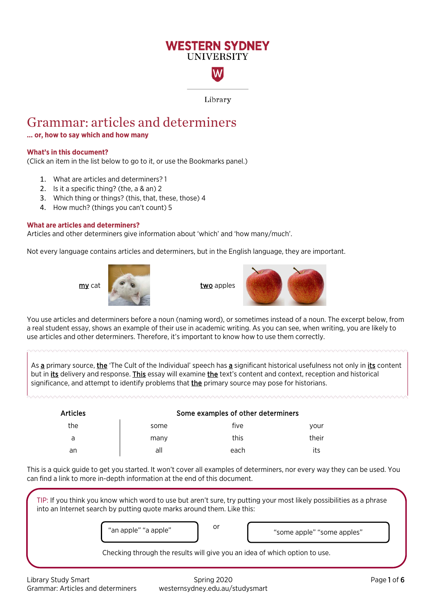# **WESTERN SYDNEY UNIVERSITY**

Library

W

# Grammar: articles and determiners

# **… or, how to say which and how many**

#### **What's in this document?**

(Click an item in the list below to go to it, or use the Bookmarks panel.)

- 1. [What are articles and determiners? 1](#page-0-0)
- 2. [Is it a specific thing? \(the, a & an\) 2](#page-1-0)
- 3. [Which thing or things? \(this, that, these, those\) 4](#page-3-0)
- 4. [How much? \(things you can't count\) 5](#page-4-0)

#### <span id="page-0-0"></span>**What are articles and determiners?**

Articles and other determiners give information about 'which' and 'how many/much'.

Not every language contains articles and determiners, but in the English language, they are important.





You use articles and determiners before a noun (naming word), or sometimes instead of a noun. The excerpt below, from a real student essay, shows an example of their use in academic writing. As you can see, when writing, you are likely to use articles and other determiners. Therefore, it's important to know how to use them correctly.

As a primary source, the 'The Cult of the Individual' speech has a significant historical usefulness not only in its content but in its delivery and response. This essay will examine the text's content and context, reception and historical significance, and attempt to identify problems that **the** primary source may pose for historians.

| <b>Articles</b> | Some examples of other determiners |      |       |
|-----------------|------------------------------------|------|-------|
| the             | some                               | five | vour  |
| a               | many                               | this | their |
| an              | all                                | each | its   |

This is a quick guide to get you started. It won't cover all examples of determiners, nor every way they can be used. You can find a link to more in-depth information at the end of this document.

Library Study Smart **Spring 2020** Communication of the Spring 2020 Communication of the Page 1 of 6 TIP: If you think you know which word to use but aren't sure, try putting your most likely possibilities as a phrase into an Internet search by putting quote marks around them. Like this: or Checking through the results will give you an idea of which option to use. "an apple" "a apple" when you have the "some apple" "some apples" ("an apple" "some apples")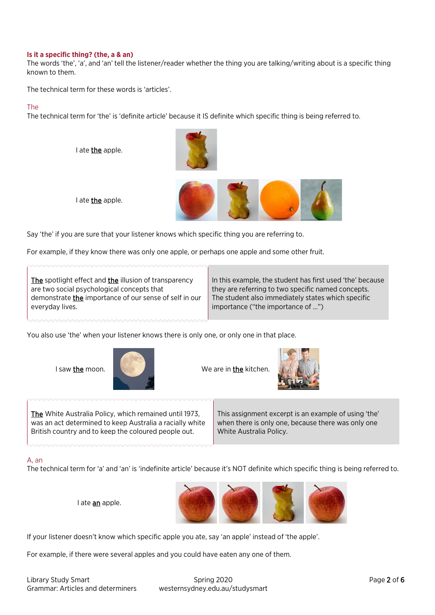#### <span id="page-1-0"></span>**Is it a specific thing? (the, a & an)**

The words 'the', 'a', and 'an' tell the listener/reader whether the thing you are talking/writing about is a specific thing known to them.

The technical term for these words is 'articles'.

### The

The technical term for 'the' is 'definite article' because it IS definite which specific thing is being referred to.

I ate the apple.





Say 'the' if you are sure that your listener knows which specific thing you are referring to.

For example, if they know there was only one apple, or perhaps one apple and some other fruit.

The spotlight effect and the illusion of transparency are two social psychological concepts that demonstrate *the* importance of our sense of self in our everyday lives.

In this example, the student has first used 'the' because they are referring to two specific named concepts. The student also immediately states which specific importance ("the importance of …")

You also use 'the' when your listener knows there is only one, or only one in that place.



I saw the moon. We are in the kitchen.



The White Australia Policy, which remained until 1973, was an act determined to keep Australia a racially white British country and to keep the coloured people out.

I ate an apple.

This assignment excerpt is an example of using 'the' when there is only one, because there was only one White Australia Policy.

# A, an

The technical term for 'a' and 'an' is 'indefinite article' because it's NOT definite which specific thing is being referred to.



If your listener doesn't know which specific apple you ate, say 'an apple' instead of 'the apple'.

For example, if there were several apples and you could have eaten any one of them.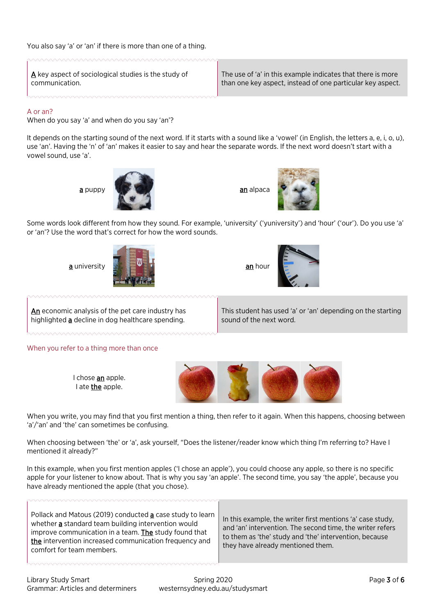$\triangle$  key aspect of sociological studies is the study of communication.

The use of 'a' in this example indicates that there is more than one key aspect, instead of one particular key aspect.

## $\Delta$  or an?

When do you say 'a' and when do you say 'an'?

It depends on the starting sound of the next word. If it starts with a sound like a 'vowel' (in English, the letters a, e, i, o, u), use 'an'. Having the 'n' of 'an' makes it easier to say and hear the separate words. If the next word doesn't start with a vowel sound, use 'a'.





Some words look different from how they sound. For example, 'university' ('yuniversity') and 'hour' ('our'). Do you use 'a' or 'an'? Use the word that's correct for how the word sounds.





An economic analysis of the pet care industry has highlighted **a** decline in dog healthcare spending.

This student has used 'a' or 'an' depending on the starting sound of the next word.

When you refer to a thing more than once

I chose an apple. I ate **the** apple.



When you write, you may find that you first mention a thing, then refer to it again. When this happens, choosing between 'a'/'an' and 'the' can sometimes be confusing.

When choosing between 'the' or 'a', ask yourself, "Does the listener/reader know which thing I'm referring to? Have I mentioned it already?"

In this example, when you first mention apples ('I chose an apple'), you could choose any apple, so there is no specific apple for your listener to know about. That is why you say 'an apple'. The second time, you say 'the apple', because you have already mentioned the apple (that you chose).

| Pollack and Matous (2019) conducted a case study to learn<br>whether a standard team building intervention would<br>improve communication in a team. The study found that<br>the intervention increased communication frequency and<br>comfort for team members. | In this example, the writer first mentions 'a' case study,<br>and 'an' intervention. The second time, the writer refers<br>to them as 'the' study and 'the' intervention, because<br>they have already mentioned them. |
|------------------------------------------------------------------------------------------------------------------------------------------------------------------------------------------------------------------------------------------------------------------|------------------------------------------------------------------------------------------------------------------------------------------------------------------------------------------------------------------------|
|------------------------------------------------------------------------------------------------------------------------------------------------------------------------------------------------------------------------------------------------------------------|------------------------------------------------------------------------------------------------------------------------------------------------------------------------------------------------------------------------|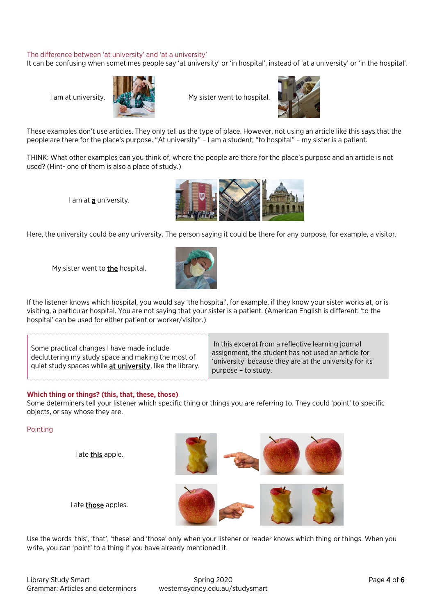## The difference between 'at university' and 'at a university'

It can be confusing when sometimes people say 'at university' or 'in hospital', instead of 'at a university' or 'in the hospital'.



I am at university.  $\frac{1}{2}$  My sister went to hospital.



These examples don't use articles. They only tell us the type of place. However, not using an article like this says that the people are there for the place's purpose. "At university" – I am a student; "to hospital" – my sister is a patient.

THINK: What other examples can you think of, where the people are there for the place's purpose and an article is not used? (Hint- one of them is also a place of study.)

I am at **a** university.



Here, the university could be any university. The person saying it could be there for any purpose, for example, a visitor.

My sister went to the hospital.



If the listener knows which hospital, you would say 'the hospital', for example, if they know your sister works at, or is visiting, a particular hospital. You are not saying that your sister is a patient. (American English is different: 'to the hospital' can be used for either patient or worker/visitor.)

Some practical changes I have made include decluttering my study space and making the most of quiet study spaces while at university, like the library.

In this excerpt from a reflective learning journal assignment, the student has not used an article for 'university' because they are at the university for its purpose – to study.

#### <span id="page-3-0"></span>**Which thing or things? (this, that, these, those)**

Some determiners tell your listener which specific thing or things you are referring to. They could 'point' to specific objects, or say whose they are.

#### Pointing

I ate this apple.

I ate **those** apples.



Use the words 'this', 'that', 'these' and 'those' only when your listener or reader knows which thing or things. When you write, you can 'point' to a thing if you have already mentioned it.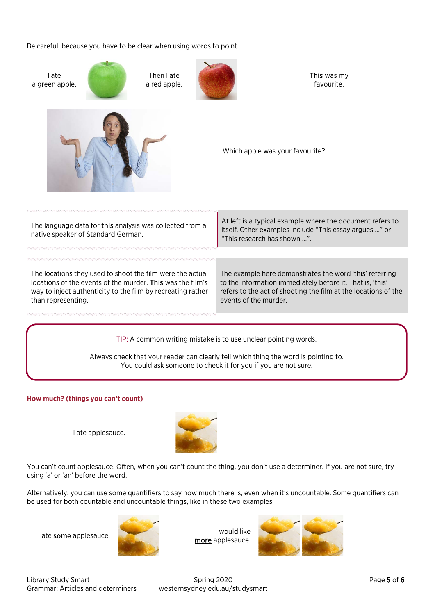Be careful, because you have to be clear when using words to point.

| I ate<br>a green apple.                                                                                                                                                                                      | Then I ate<br>a red apple. | This was my<br>favourite.                                                                                                                                                                                       |  |
|--------------------------------------------------------------------------------------------------------------------------------------------------------------------------------------------------------------|----------------------------|-----------------------------------------------------------------------------------------------------------------------------------------------------------------------------------------------------------------|--|
|                                                                                                                                                                                                              |                            | Which apple was your favourite?                                                                                                                                                                                 |  |
| The language data for <b>this</b> analysis was collected from a<br>native speaker of Standard German.                                                                                                        |                            | At left is a typical example where the document refers to<br>itself. Other examples include "This essay argues " or<br>"This research has shown ".                                                              |  |
|                                                                                                                                                                                                              |                            |                                                                                                                                                                                                                 |  |
| The locations they used to shoot the film were the actual<br>locations of the events of the murder. This was the film's<br>way to inject authenticity to the film by recreating rather<br>than representing. |                            | The example here demonstrates the word 'this' referring<br>to the information immediately before it. That is, 'this'<br>refers to the act of shooting the film at the locations of the<br>events of the murder. |  |
|                                                                                                                                                                                                              |                            |                                                                                                                                                                                                                 |  |
| TIP: A common writing mistake is to use unclear pointing words.                                                                                                                                              |                            |                                                                                                                                                                                                                 |  |

Always check that your reader can clearly tell which thing the word is pointing to. You could ask someone to check it for you if you are not sure.

# <span id="page-4-0"></span>**How much? (things you can't count)**

I ate applesauce.



You can't count applesauce. Often, when you can't count the thing, you don't use a determiner. If you are not sure, try using 'a' or 'an' before the word.

Alternatively, you can use some quantifiers to say how much there is, even when it's uncountable. Some quantifiers can be used for both countable and uncountable things, like in these two examples.



I ate some applesauce. I would like more applesauce.